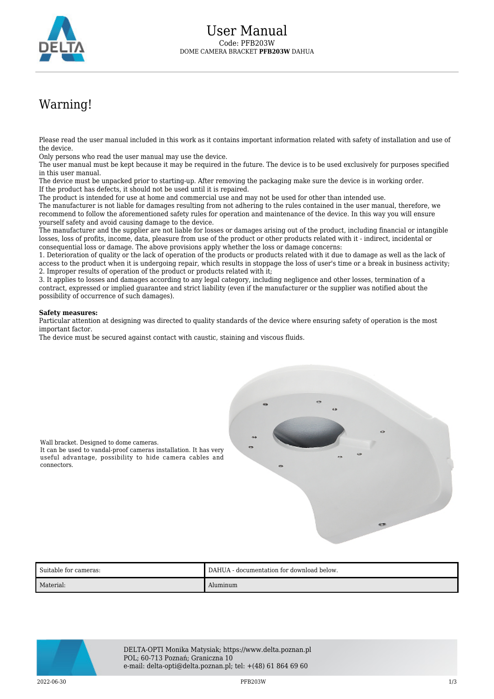

## Warning!

Please read the user manual included in this work as it contains important information related with safety of installation and use of the device.

Only persons who read the user manual may use the device.

The user manual must be kept because it may be required in the future. The device is to be used exclusively for purposes specified in this user manual.

The device must be unpacked prior to starting-up. After removing the packaging make sure the device is in working order. If the product has defects, it should not be used until it is repaired.

The product is intended for use at home and commercial use and may not be used for other than intended use.

The manufacturer is not liable for damages resulting from not adhering to the rules contained in the user manual, therefore, we recommend to follow the aforementioned safety rules for operation and maintenance of the device. In this way you will ensure yourself safety and avoid causing damage to the device.

The manufacturer and the supplier are not liable for losses or damages arising out of the product, including financial or intangible losses, loss of profits, income, data, pleasure from use of the product or other products related with it - indirect, incidental or consequential loss or damage. The above provisions apply whether the loss or damage concerns:

1. Deterioration of quality or the lack of operation of the products or products related with it due to damage as well as the lack of access to the product when it is undergoing repair, which results in stoppage the loss of user's time or a break in business activity; 2. Improper results of operation of the product or products related with it;

3. It applies to losses and damages according to any legal category, including negligence and other losses, termination of a contract, expressed or implied guarantee and strict liability (even if the manufacturer or the supplier was notified about the possibility of occurrence of such damages).

## **Safety measures:**

connectors.

Wall bracket. Designed to dome cameras.

Particular attention at designing was directed to quality standards of the device where ensuring safety of operation is the most important factor.

The device must be secured against contact with caustic, staining and viscous fluids.



Suitable for cameras: DAHUA - documentation for download below. Material: Aluminum



DELTA-OPTI Monika Matysiak; https://www.delta.poznan.pl POL; 60-713 Poznań; Graniczna 10 e-mail: delta-opti@delta.poznan.pl; tel: +(48) 61 864 69 60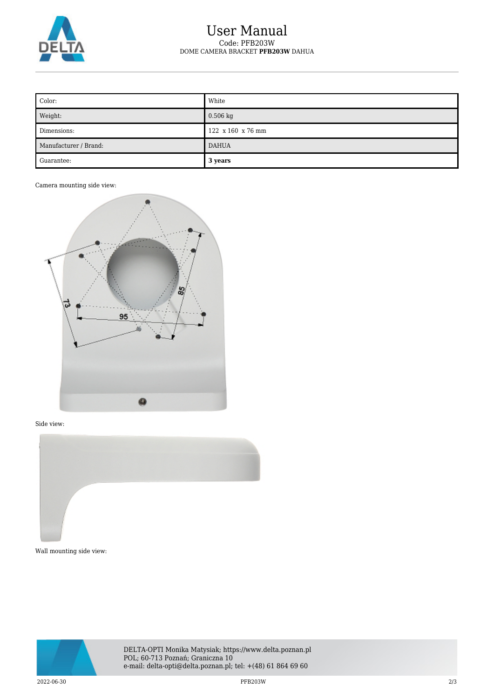

## User Manual Code: PFB203W DOME CAMERA BRACKET **PFB203W** DAHUA

| Color:                | White             |
|-----------------------|-------------------|
| Weight:               | $0.506$ kg        |
| Dimensions:           | 122 x 160 x 76 mm |
| Manufacturer / Brand: | <b>DAHUA</b>      |
| Guarantee:            | 3 years           |

Camera mounting side view:



## Side view:



Wall mounting side view: